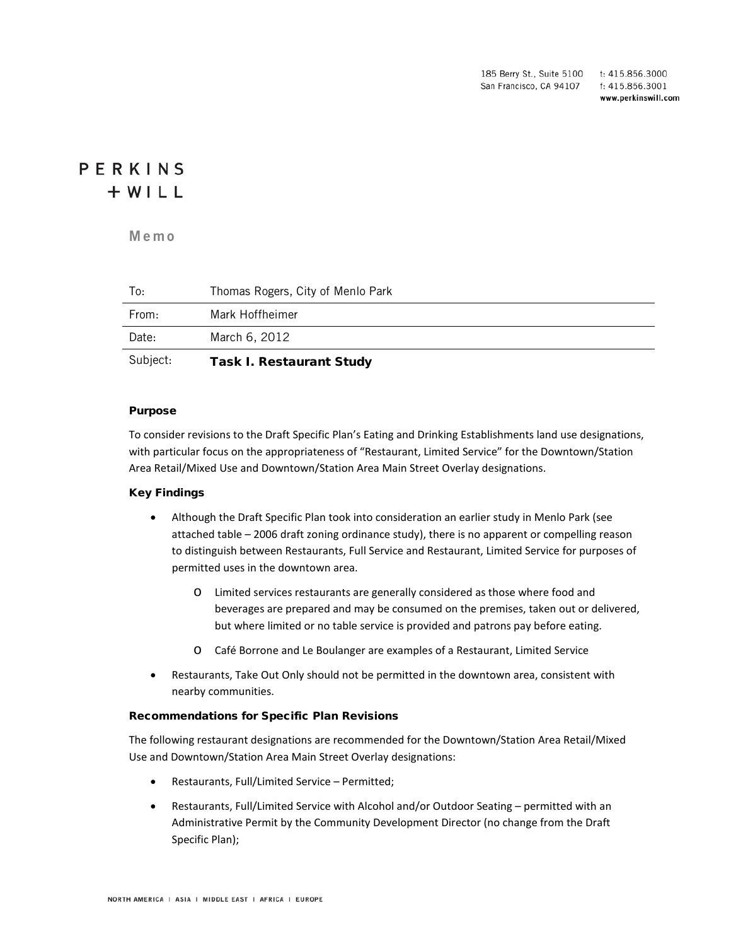185 Berry St., Suite 5100 t: 415.856.3000 San Francisco, CA 94107 f: 415.856.3001 www.perkinswill.com

# PERKINS  $+ WILL$

**Mem o**

| Subject: | <b>Task I. Restaurant Study</b>   |
|----------|-----------------------------------|
| Date:    | March 6, 2012                     |
| From:    | Mark Hoffheimer                   |
| To:      | Thomas Rogers, City of Menlo Park |

#### Purpose

To consider revisions to the Draft Specific Plan's Eating and Drinking Establishments land use designations, with particular focus on the appropriateness of "Restaurant, Limited Service" for the Downtown/Station Area Retail/Mixed Use and Downtown/Station Area Main Street Overlay designations.

#### Key Findings

- Although the Draft Specific Plan took into consideration an earlier study in Menlo Park (see attached table – 2006 draft zoning ordinance study), there is no apparent or compelling reason to distinguish between Restaurants, Full Service and Restaurant, Limited Service for purposes of permitted uses in the downtown area.
	- o Limited services restaurants are generally considered as those where food and beverages are prepared and may be consumed on the premises, taken out or delivered, but where limited or no table service is provided and patrons pay before eating.
	- o Café Borrone and Le Boulanger are examples of a Restaurant, Limited Service
- Restaurants, Take Out Only should not be permitted in the downtown area, consistent with nearby communities.

#### Recommendations for Specific Plan Revisions

The following restaurant designations are recommended for the Downtown/Station Area Retail/Mixed Use and Downtown/Station Area Main Street Overlay designations:

- Restaurants, Full/Limited Service Permitted;
- Restaurants, Full/Limited Service with Alcohol and/or Outdoor Seating permitted with an Administrative Permit by the Community Development Director (no change from the Draft Specific Plan);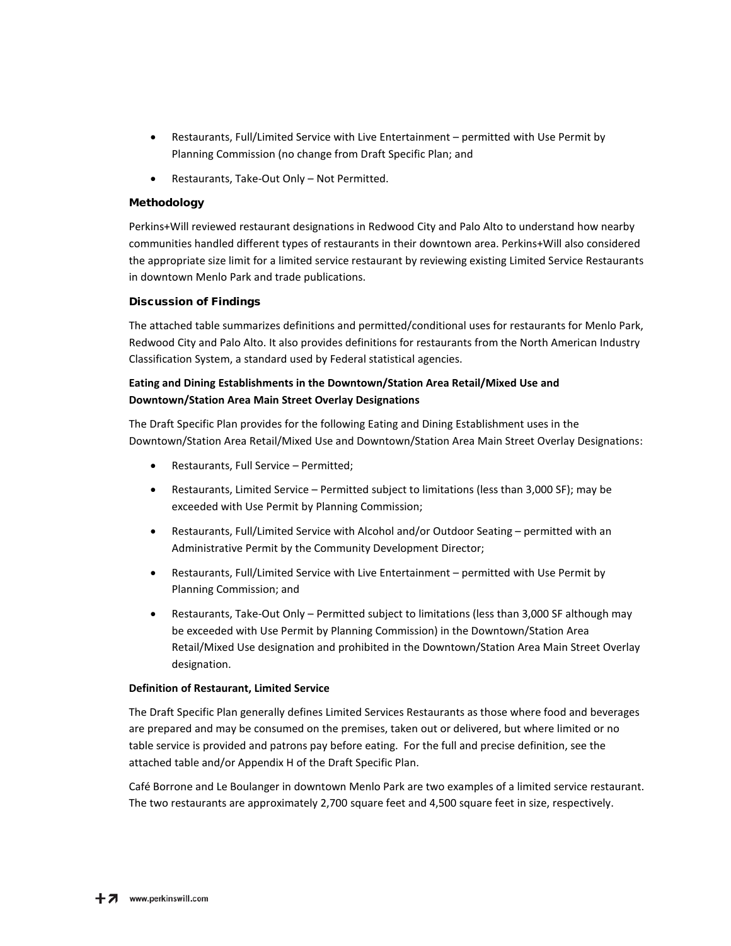- Restaurants, Full/Limited Service with Live Entertainment permitted with Use Permit by Planning Commission (no change from Draft Specific Plan; and
- Restaurants, Take-Out Only Not Permitted.

### Methodology

Perkins+Will reviewed restaurant designations in Redwood City and Palo Alto to understand how nearby communities handled different types of restaurants in their downtown area. Perkins+Will also considered the appropriate size limit for a limited service restaurant by reviewing existing Limited Service Restaurants in downtown Menlo Park and trade publications.

#### Discussion of Findings

The attached table summarizes definitions and permitted/conditional uses for restaurants for Menlo Park, Redwood City and Palo Alto. It also provides definitions for restaurants from the North American Industry Classification System, a standard used by Federal statistical agencies.

## **Eating and Dining Establishments in the Downtown/Station Area Retail/Mixed Use and Downtown/Station Area Main Street Overlay Designations**

The Draft Specific Plan provides for the following Eating and Dining Establishment uses in the Downtown/Station Area Retail/Mixed Use and Downtown/Station Area Main Street Overlay Designations:

- Restaurants, Full Service Permitted;
- Restaurants, Limited Service Permitted subject to limitations (less than 3,000 SF); may be exceeded with Use Permit by Planning Commission;
- Restaurants, Full/Limited Service with Alcohol and/or Outdoor Seating permitted with an Administrative Permit by the Community Development Director;
- Restaurants, Full/Limited Service with Live Entertainment permitted with Use Permit by Planning Commission; and
- Restaurants, Take-Out Only Permitted subject to limitations (less than 3,000 SF although may be exceeded with Use Permit by Planning Commission) in the Downtown/Station Area Retail/Mixed Use designation and prohibited in the Downtown/Station Area Main Street Overlay designation.

#### **Definition of Restaurant, Limited Service**

The Draft Specific Plan generally defines Limited Services Restaurants as those where food and beverages are prepared and may be consumed on the premises, taken out or delivered, but where limited or no table service is provided and patrons pay before eating. For the full and precise definition, see the attached table and/or Appendix H of the Draft Specific Plan.

Café Borrone and Le Boulanger in downtown Menlo Park are two examples of a limited service restaurant. The two restaurants are approximately 2,700 square feet and 4,500 square feet in size, respectively.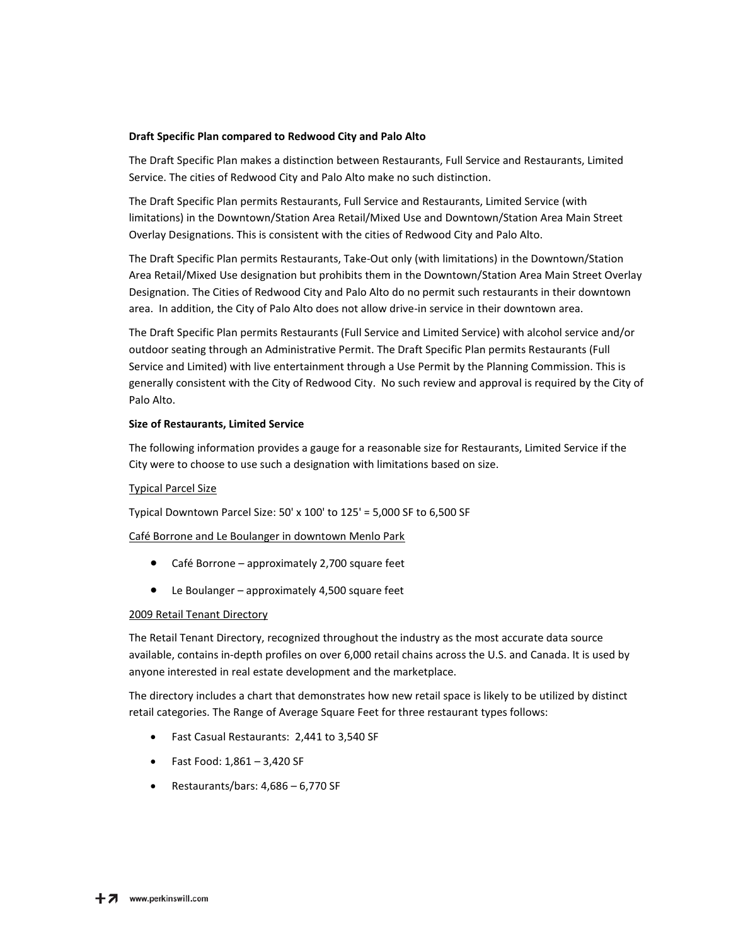#### **Draft Specific Plan compared to Redwood City and Palo Alto**

The Draft Specific Plan makes a distinction between Restaurants, Full Service and Restaurants, Limited Service. The cities of Redwood City and Palo Alto make no such distinction.

The Draft Specific Plan permits Restaurants, Full Service and Restaurants, Limited Service (with limitations) in the Downtown/Station Area Retail/Mixed Use and Downtown/Station Area Main Street Overlay Designations. This is consistent with the cities of Redwood City and Palo Alto.

The Draft Specific Plan permits Restaurants, Take-Out only (with limitations) in the Downtown/Station Area Retail/Mixed Use designation but prohibits them in the Downtown/Station Area Main Street Overlay Designation. The Cities of Redwood City and Palo Alto do no permit such restaurants in their downtown area. In addition, the City of Palo Alto does not allow drive-in service in their downtown area.

The Draft Specific Plan permits Restaurants (Full Service and Limited Service) with alcohol service and/or outdoor seating through an Administrative Permit. The Draft Specific Plan permits Restaurants (Full Service and Limited) with live entertainment through a Use Permit by the Planning Commission. This is generally consistent with the City of Redwood City. No such review and approval is required by the City of Palo Alto.

#### **Size of Restaurants, Limited Service**

The following information provides a gauge for a reasonable size for Restaurants, Limited Service if the City were to choose to use such a designation with limitations based on size.

#### Typical Parcel Size

Typical Downtown Parcel Size: 50' x 100' to 125' = 5,000 SF to 6,500 SF

Café Borrone and Le Boulanger in downtown Menlo Park

- Café Borrone approximately 2,700 square feet
- Le Boulanger approximately 4,500 square feet

#### 2009 Retail Tenant Directory

The Retail Tenant Directory, recognized throughout the industry as the most accurate data source available, contains in-depth profiles on over 6,000 retail chains across the U.S. and Canada. It is used by anyone interested in real estate development and the marketplace.

The directory includes a chart that demonstrates how new retail space is likely to be utilized by distinct retail categories. The Range of Average Square Feet for three restaurant types follows:

- Fast Casual Restaurants: 2,441 to 3,540 SF
- Fast Food: 1,861 3,420 SF
- Restaurants/bars: 4,686 6,770 SF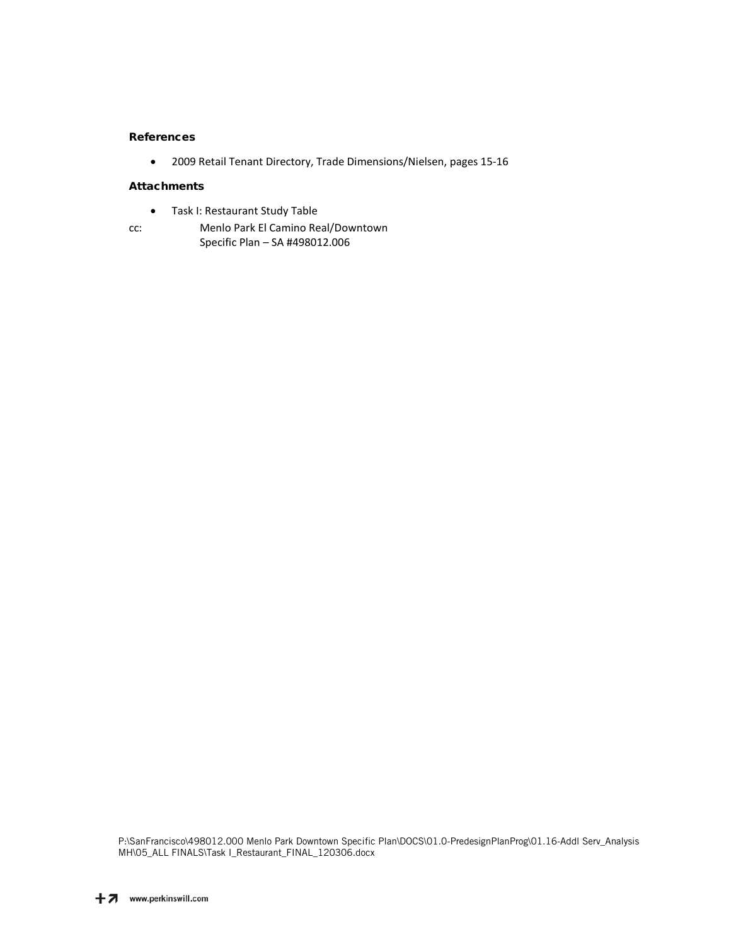#### References

• 2009 Retail Tenant Directory, Trade Dimensions/Nielsen, pages 15-16

#### **Attachments**

- Task I: Restaurant Study Table
- cc: Menlo Park El Camino Real/Downtown Specific Plan – SA #498012.006

P:\SanFrancisco\498012.000 Menlo Park Downtown Specific Plan\DOCS\01.0-PredesignPlanProg\01.16-Addl Serv\_Analysis MH\05\_ALL FINALS\Task I\_Restaurant\_FINAL\_120306.docx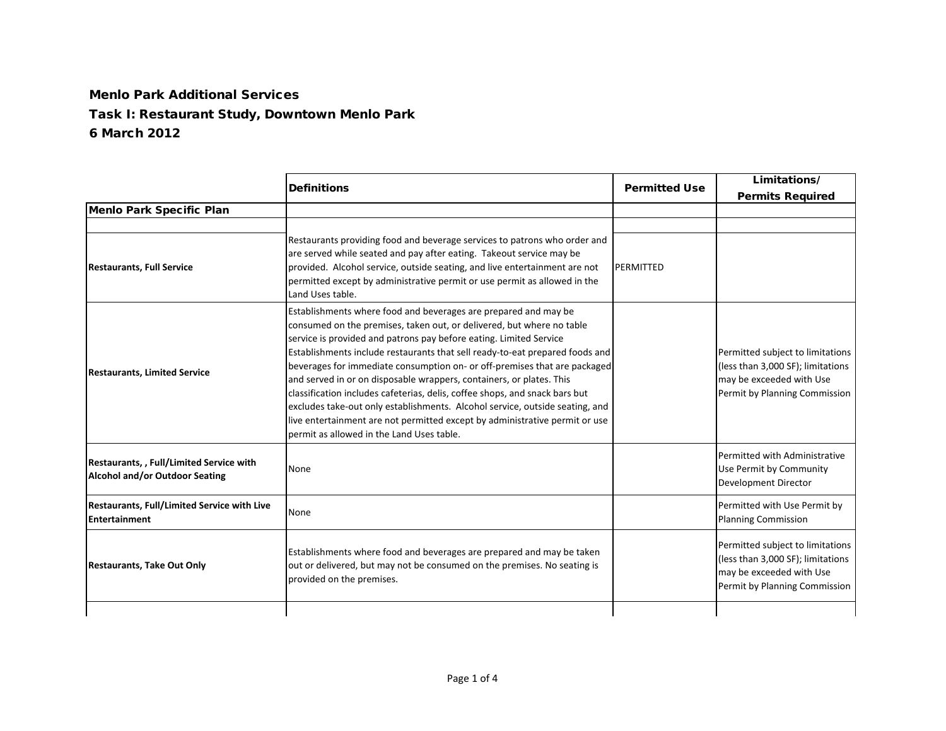## Menlo Park Additional ServicesTask I: Restaurant Study, Downtown Menlo Park 6 March 2012

|                                                                                         | <b>Definitions</b>                                                                                                                                                                                                                                                                                                                                                                                                                                                                                                                                                                                                                                                                                                                             | <b>Permitted Use</b> | Limitations/<br><b>Permits Required</b>                                                                                            |
|-----------------------------------------------------------------------------------------|------------------------------------------------------------------------------------------------------------------------------------------------------------------------------------------------------------------------------------------------------------------------------------------------------------------------------------------------------------------------------------------------------------------------------------------------------------------------------------------------------------------------------------------------------------------------------------------------------------------------------------------------------------------------------------------------------------------------------------------------|----------------------|------------------------------------------------------------------------------------------------------------------------------------|
| <b>Menlo Park Specific Plan</b>                                                         |                                                                                                                                                                                                                                                                                                                                                                                                                                                                                                                                                                                                                                                                                                                                                |                      |                                                                                                                                    |
| <b>Restaurants, Full Service</b>                                                        | Restaurants providing food and beverage services to patrons who order and<br>are served while seated and pay after eating. Takeout service may be<br>provided. Alcohol service, outside seating, and live entertainment are not<br>permitted except by administrative permit or use permit as allowed in the<br>Land Uses table.                                                                                                                                                                                                                                                                                                                                                                                                               | PERMITTED            |                                                                                                                                    |
| <b>Restaurants, Limited Service</b>                                                     | Establishments where food and beverages are prepared and may be<br>consumed on the premises, taken out, or delivered, but where no table<br>service is provided and patrons pay before eating. Limited Service<br>Establishments include restaurants that sell ready-to-eat prepared foods and<br>beverages for immediate consumption on- or off-premises that are packaged<br>and served in or on disposable wrappers, containers, or plates. This<br>classification includes cafeterias, delis, coffee shops, and snack bars but<br>excludes take-out only establishments. Alcohol service, outside seating, and<br>live entertainment are not permitted except by administrative permit or use<br>permit as allowed in the Land Uses table. |                      | Permitted subject to limitations<br>(less than 3,000 SF); limitations<br>may be exceeded with Use<br>Permit by Planning Commission |
| <b>Restaurants,, Full/Limited Service with</b><br><b>Alcohol and/or Outdoor Seating</b> | <b>None</b>                                                                                                                                                                                                                                                                                                                                                                                                                                                                                                                                                                                                                                                                                                                                    |                      | Permitted with Administrative<br>Use Permit by Community<br>Development Director                                                   |
| Restaurants, Full/Limited Service with Live<br><b>Entertainment</b>                     | None                                                                                                                                                                                                                                                                                                                                                                                                                                                                                                                                                                                                                                                                                                                                           |                      | Permitted with Use Permit by<br><b>Planning Commission</b>                                                                         |
| <b>Restaurants, Take Out Only</b>                                                       | Establishments where food and beverages are prepared and may be taken<br>out or delivered, but may not be consumed on the premises. No seating is<br>provided on the premises.                                                                                                                                                                                                                                                                                                                                                                                                                                                                                                                                                                 |                      | Permitted subject to limitations<br>(less than 3,000 SF); limitations<br>may be exceeded with Use<br>Permit by Planning Commission |
|                                                                                         |                                                                                                                                                                                                                                                                                                                                                                                                                                                                                                                                                                                                                                                                                                                                                |                      |                                                                                                                                    |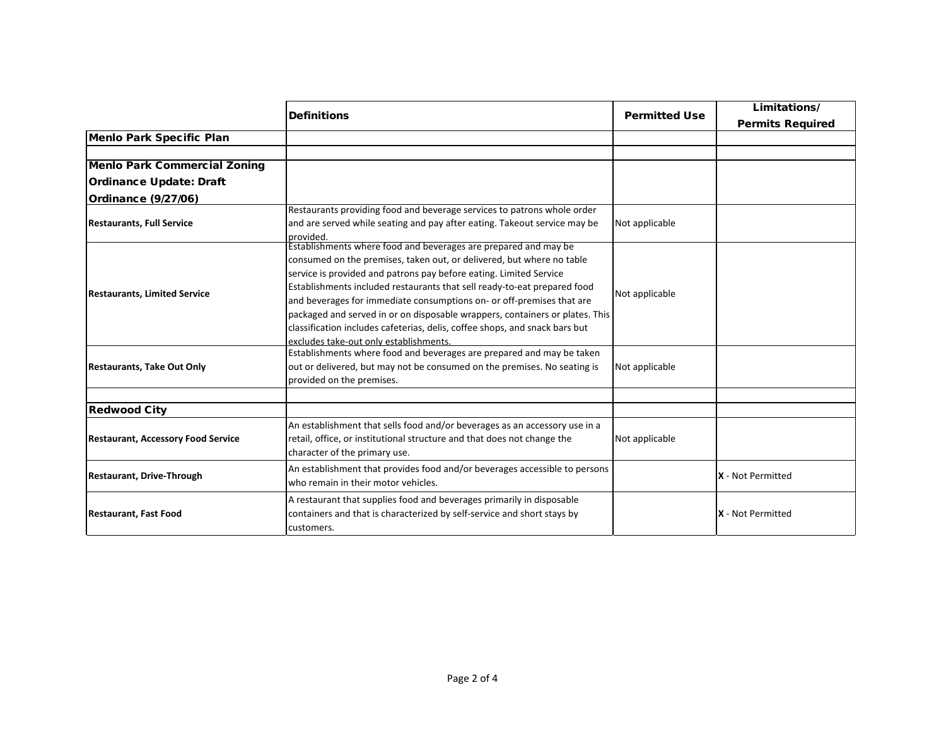|                                           | <b>Definitions</b>                                                                                                                                                                                                                                                                                                                                                                                                                                                                                                                                                           | <b>Permitted Use</b> | Limitations/<br><b>Permits Required</b> |
|-------------------------------------------|------------------------------------------------------------------------------------------------------------------------------------------------------------------------------------------------------------------------------------------------------------------------------------------------------------------------------------------------------------------------------------------------------------------------------------------------------------------------------------------------------------------------------------------------------------------------------|----------------------|-----------------------------------------|
| <b>Menlo Park Specific Plan</b>           |                                                                                                                                                                                                                                                                                                                                                                                                                                                                                                                                                                              |                      |                                         |
| <b>Menlo Park Commercial Zoning</b>       |                                                                                                                                                                                                                                                                                                                                                                                                                                                                                                                                                                              |                      |                                         |
| <b>Ordinance Update: Draft</b>            |                                                                                                                                                                                                                                                                                                                                                                                                                                                                                                                                                                              |                      |                                         |
| <b>Ordinance (9/27/06)</b>                |                                                                                                                                                                                                                                                                                                                                                                                                                                                                                                                                                                              |                      |                                         |
| <b>Restaurants, Full Service</b>          | Restaurants providing food and beverage services to patrons whole order<br>and are served while seating and pay after eating. Takeout service may be<br>provided.                                                                                                                                                                                                                                                                                                                                                                                                            | Not applicable       |                                         |
| <b>Restaurants, Limited Service</b>       | Establishments where food and beverages are prepared and may be<br>consumed on the premises, taken out, or delivered, but where no table<br>service is provided and patrons pay before eating. Limited Service<br>Establishments included restaurants that sell ready-to-eat prepared food<br>and beverages for immediate consumptions on- or off-premises that are<br>packaged and served in or on disposable wrappers, containers or plates. This<br>classification includes cafeterias, delis, coffee shops, and snack bars but<br>excludes take-out only establishments. | Not applicable       |                                         |
| <b>Restaurants, Take Out Only</b>         | Establishments where food and beverages are prepared and may be taken<br>out or delivered, but may not be consumed on the premises. No seating is<br>provided on the premises.                                                                                                                                                                                                                                                                                                                                                                                               | Not applicable       |                                         |
| <b>Redwood City</b>                       |                                                                                                                                                                                                                                                                                                                                                                                                                                                                                                                                                                              |                      |                                         |
| <b>Restaurant, Accessory Food Service</b> | An establishment that sells food and/or beverages as an accessory use in a<br>retail, office, or institutional structure and that does not change the<br>character of the primary use.                                                                                                                                                                                                                                                                                                                                                                                       | Not applicable       |                                         |
| <b>Restaurant, Drive-Through</b>          | An establishment that provides food and/or beverages accessible to persons<br>who remain in their motor vehicles.                                                                                                                                                                                                                                                                                                                                                                                                                                                            |                      | X - Not Permitted                       |
| <b>Restaurant, Fast Food</b>              | A restaurant that supplies food and beverages primarily in disposable<br>containers and that is characterized by self-service and short stays by<br>customers.                                                                                                                                                                                                                                                                                                                                                                                                               |                      | X - Not Permitted                       |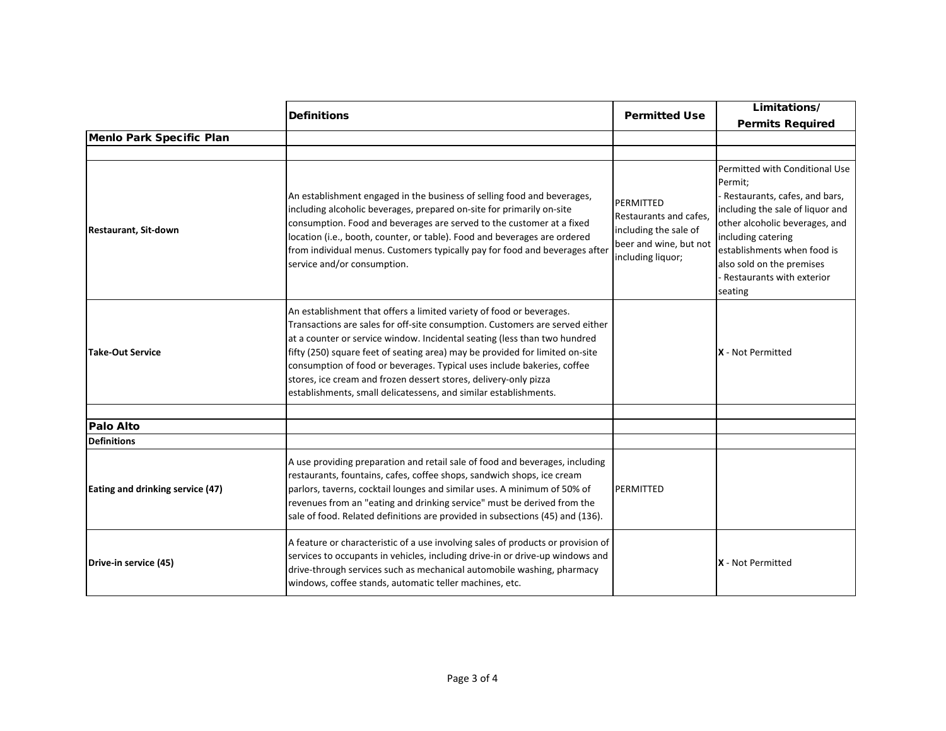|                                  | <b>Definitions</b>                                                                                                                                                                                                                                                                                                                                                                                                                                                                                                                   | <b>Permitted Use</b>                                                                                        | Limitations/                                                                                                                                                                                                                                                               |
|----------------------------------|--------------------------------------------------------------------------------------------------------------------------------------------------------------------------------------------------------------------------------------------------------------------------------------------------------------------------------------------------------------------------------------------------------------------------------------------------------------------------------------------------------------------------------------|-------------------------------------------------------------------------------------------------------------|----------------------------------------------------------------------------------------------------------------------------------------------------------------------------------------------------------------------------------------------------------------------------|
|                                  |                                                                                                                                                                                                                                                                                                                                                                                                                                                                                                                                      |                                                                                                             | <b>Permits Required</b>                                                                                                                                                                                                                                                    |
| Menlo Park Specific Plan         |                                                                                                                                                                                                                                                                                                                                                                                                                                                                                                                                      |                                                                                                             |                                                                                                                                                                                                                                                                            |
| <b>Restaurant, Sit-down</b>      | An establishment engaged in the business of selling food and beverages,<br>including alcoholic beverages, prepared on-site for primarily on-site<br>consumption. Food and beverages are served to the customer at a fixed<br>location (i.e., booth, counter, or table). Food and beverages are ordered<br>from individual menus. Customers typically pay for food and beverages after<br>service and/or consumption.                                                                                                                 | PERMITTED<br>Restaurants and cafes,<br>including the sale of<br>beer and wine, but not<br>including liquor; | Permitted with Conditional Use<br>Permit;<br>Restaurants, cafes, and bars,<br>including the sale of liquor and<br>other alcoholic beverages, and<br>including catering<br>establishments when food is<br>also sold on the premises<br>Restaurants with exterior<br>seating |
| <b>Take-Out Service</b>          | An establishment that offers a limited variety of food or beverages.<br>Transactions are sales for off-site consumption. Customers are served either<br>at a counter or service window. Incidental seating (less than two hundred<br>fifty (250) square feet of seating area) may be provided for limited on-site<br>consumption of food or beverages. Typical uses include bakeries, coffee<br>stores, ice cream and frozen dessert stores, delivery-only pizza<br>establishments, small delicatessens, and similar establishments. |                                                                                                             | X - Not Permitted                                                                                                                                                                                                                                                          |
| <b>Palo Alto</b>                 |                                                                                                                                                                                                                                                                                                                                                                                                                                                                                                                                      |                                                                                                             |                                                                                                                                                                                                                                                                            |
| <b>Definitions</b>               |                                                                                                                                                                                                                                                                                                                                                                                                                                                                                                                                      |                                                                                                             |                                                                                                                                                                                                                                                                            |
| Eating and drinking service (47) | A use providing preparation and retail sale of food and beverages, including<br>restaurants, fountains, cafes, coffee shops, sandwich shops, ice cream<br>parlors, taverns, cocktail lounges and similar uses. A minimum of 50% of<br>revenues from an "eating and drinking service" must be derived from the<br>sale of food. Related definitions are provided in subsections (45) and (136).                                                                                                                                       | <b>PERMITTED</b>                                                                                            |                                                                                                                                                                                                                                                                            |
| Drive-in service (45)            | A feature or characteristic of a use involving sales of products or provision of<br>services to occupants in vehicles, including drive-in or drive-up windows and<br>drive-through services such as mechanical automobile washing, pharmacy<br>windows, coffee stands, automatic teller machines, etc.                                                                                                                                                                                                                               |                                                                                                             | X - Not Permitted                                                                                                                                                                                                                                                          |